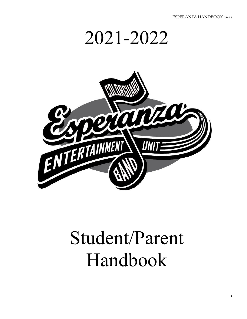



# Student/Parent Handbook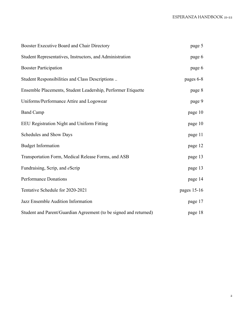| Booster Executive Board and Chair Directory                       | page 5      |
|-------------------------------------------------------------------|-------------|
| Student Representatives, Instructors, and Administration          | page 6      |
| <b>Booster Participation</b>                                      | page 6      |
| Student Responsibilities and Class Descriptions                   | pages 6-8   |
| Ensemble Placements, Student Leadership, Performer Etiquette      | page 8      |
| Uniforms/Performance Attire and Logowear                          | page 9      |
| <b>Band Camp</b>                                                  | page 10     |
| EEU Registration Night and Uniform Fitting                        | page 10     |
| Schedules and Show Days                                           | page 11     |
| <b>Budget Information</b>                                         | page 12     |
| Transportation Form, Medical Release Forms, and ASB               | page 13     |
| Fundraising, Scrip, and eScrip                                    | page 13     |
| <b>Performance Donations</b>                                      | page 14     |
| Tentative Schedule for 2020-2021                                  | pages 15-16 |
| Jazz Ensemble Audition Information                                | page 17     |
| Student and Parent/Guardian Agreement (to be signed and returned) | page 18     |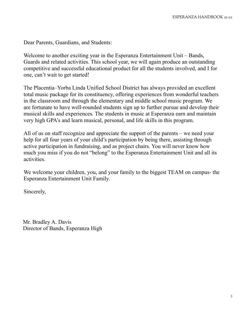Dear Parents, Guardians, and Students:

Welcome to another exciting year in the Esperanza Entertainment Unit – Bands, Guards and related activities. This school year, we will again produce an outstanding competitive and successful educational product for all the students involved, and I for one, can't wait to get started!

The Placentia–Yorba Linda Unified School District has always provided an excellent total music package for its constituency, offering experiences from wonderful teachers in the classroom and through the elementary and middle school music program. We are fortunate to have well-rounded students sign up to further pursue and develop their musical skills and experiences. The students in music at Esperanza earn and maintain very high GPA's and learn musical, personal, and life skills in this program.

All of us on staff recognize and appreciate the support of the parents – we need your help for all four years of your child's participation by being there, assisting through active participation in fundraising, and as project chairs. You will never know how much you miss if you do not "belong" to the Esperanza Entertainment Unit and all its activities.

We welcome your children, you, and your family to the biggest TEAM on campus- the Esperanza Entertainment Unit Family.

Sincerely,

Mr. Bradley A. Davis Director of Bands, Esperanza High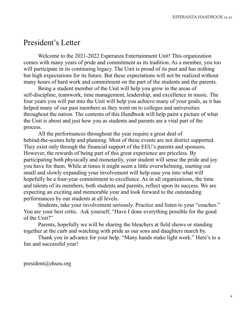## President's Letter

Welcome to the 2021-2022 Esperanza Entertainment Unit! This organization comes with many years of pride and commitment as its tradition. As a member, you too will participate in its continuing legacy. The Unit is proud of its past and has nothing but high expectations for its future. But these expectations will not be realized without many hours of hard work and commitment on the part of the students and the parents.

Being a student member of the Unit will help you grow in the areas of self-discipline, teamwork, time management, leadership, and excellence in music. The four years you will put into the Unit will help you achieve many of your goals, as it has helped many of our past members as they went on to colleges and universities throughout the nation. The contents of this Handbook will help paint a picture of what the Unit is about and just how you as students and parents are a vital part of the process.

All the performances throughout the year require a great deal of behind-the-scenes help and planning. Most of these events are not district supported. They exist only through the financial support of the EEU's parents and sponsors. However, the rewards of being part of this great experience are priceless. By participating both physically and monetarily, your student will sense the pride and joy you have for them. While at times it might seem a little overwhelming, starting out small and slowly expanding your involvement will help ease you into what will hopefully be a four-year commitment to excellence. As in all organizations, the time and talents of its members, both students and parents, reflect upon its success. We are expecting an exciting and memorable year and look forward to the outstanding performances by our students at all levels.

Students, take your involvement seriously. Practice and listen to your "coaches." You are your best critic. Ask yourself, "Have I done everything possible for the good of the Unit?"

Parents, hopefully we will be sharing the bleachers at field shows or standing together at the curb and watching with pride as our sons and daughters march by.

Thank you in advance for your help. "Many hands make light work." Here's to a fun and successful year!

president@ehseu.org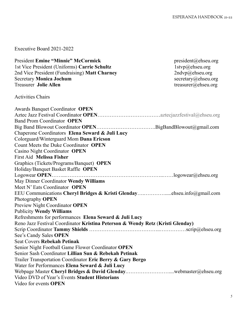Executive Board 2021-2022

| <b>President Emine "Minnie" McCormick</b>                                      | president@ehseu.org |
|--------------------------------------------------------------------------------|---------------------|
| 1st Vice President (Uniforms) Carrie Schultz                                   | 1stvp@ehseu.org     |
| 2nd Vice President (Fundraising) Matt Charney                                  | 2ndvp@ehseu.org     |
| <b>Secretary Monica Jochum</b>                                                 | secretary@ehseu.org |
| <b>Treasurer Jolie Allen</b>                                                   | treasurer@ehseu.org |
| <b>Activities Chairs</b>                                                       |                     |
| <b>Awards Banquet Coordinator OPEN</b>                                         |                     |
|                                                                                |                     |
| <b>Band Prom Coordinator OPEN</b>                                              |                     |
|                                                                                |                     |
| Chaperone Coordinators Elena Seward & Juli Lucy                                |                     |
| Colorguard/Winterguard Mom Dana Ericson                                        |                     |
| Count Meets the Duke Coordinator OPEN                                          |                     |
| Casino Night Coordinator OPEN                                                  |                     |
| <b>First Aid Melissa Fisher</b>                                                |                     |
| Graphics (Tickets/Programs/Banquet) OPEN                                       |                     |
| Holiday/Banquet Basket Raffle OPEN                                             |                     |
|                                                                                |                     |
| May Dinner Coordinator Wendy Williams                                          |                     |
| Meet N' Eats Coordinator OPEN                                                  |                     |
|                                                                                |                     |
| Photography <b>OPEN</b>                                                        |                     |
| Preview Night Coordinator OPEN                                                 |                     |
| <b>Publicity Wendy Williams</b>                                                |                     |
| Refreshments for performances Elena Seward & Juli Lucy                         |                     |
| Reno Jazz Festival Coordinator Kristina Peterson & Wendy Retz (Kristi Glenday) |                     |
|                                                                                |                     |
| See's Candy Sales OPEN                                                         |                     |
| <b>Seat Covers Rebekah Petinak</b>                                             |                     |
| Senior Night Football Game Flower Coordinator OPEN                             |                     |
| Senior Sash Coordinator Lillian Sun & Rebekah Petinak                          |                     |
| Trailer Transportation Coordinator Eric Berry & Gary Bergo                     |                     |
| Water for Performances Elena Seward & Juli Lucy                                |                     |
|                                                                                |                     |
| Video DVD of Year's Events Student Historians                                  |                     |
| Video for events OPEN                                                          |                     |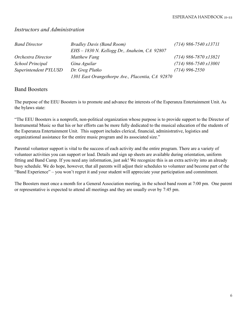#### *Instructors and Administration*

| <b>Band Director</b>    | <b>Bradley Davis (Band Room)</b>                 | $(714)$ 986-7540 x13711 |
|-------------------------|--------------------------------------------------|-------------------------|
|                         | $EHS - 1830$ N. Kellogg Dr., Anaheim, CA 92807   |                         |
| Orchestra Director      | Matthew Fang                                     | $(714)$ 986-7870 x13821 |
| <b>School Principal</b> | Gina Aguilar                                     | $(714)$ 986-7540 x13001 |
| Superintendent PYLUSD   | Dr. Greg Plutko                                  | $(714)$ 996-2550        |
|                         | 1301 East Orangethorpe Ave., Placentia, CA 92870 |                         |

#### Band Boosters

The purpose of the EEU Boosters is to promote and advance the interests of the Esperanza Entertainment Unit. As the bylaws state:

"The EEU Boosters is a nonprofit, non-political organization whose purpose is to provide support to the Director of Instrumental Music so that his or her efforts can be more fully dedicated to the musical education of the students of the Esperanza Entertainment Unit. This support includes clerical, financial, administrative, logistics and organizational assistance for the entire music program and its associated size."

Parental volunteer support is vital to the success of each activity and the entire program. There are a variety of volunteer activities you can support or lead. Details and sign up sheets are available during orientation, uniform fitting and Band Camp. If you need any information, just ask! We recognize this is an extra activity into an already busy schedule. We do hope, however, that all parents will adjust their schedules to volunteer and become part of the "Band Experience" – you won't regret it and your student will appreciate your participation and commitment.

The Boosters meet once a month for a General Association meeting, in the school band room at 7:00 pm. One parent or representative is expected to attend all meetings and they are usually over by 7:45 pm.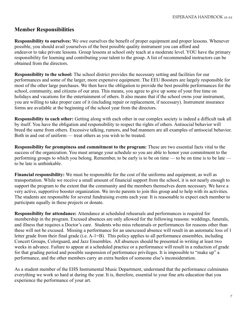## **Member Responsibilities**

**Responsibility to ourselves:** We owe ourselves the benefit of proper equipment and proper lessons. Whenever possible, you should avail yourselves of the best possible quality instrument you can afford and endeavor to take private lessons. Group lessons at school only teach at a moderate level. YOU have the primary responsibility for learning and contributing your talent to the group. A list of recommended instructors can be obtained from the directors.

**Responsibility to the school:** The school district provides the necessary setting and facilities for our performances and some of the larger, more expensive equipment. The EEU Boosters are largely responsible for most of the other large purchases. We then have the obligation to provide the best possible performances for the school, community, and citizens of our area. This means, you agree to give up some of your free time on holidays and vacations for the entertainment of others. It also means that if the school owns your instrument, you are willing to take proper care of it (including repair or replacement, if necessary). Instrument insurance forms are available at the beginning of the school year from the directors.

**Responsibility to each other:** Getting along with each other in our complex society is indeed a difficult task all by itself. You have the obligation and responsibility to respect the rights of others. Antisocial behavior will breed the same from others. Excessive talking, rumors, and bad manners are all examples of antisocial behavior. Both in and out of uniform — treat others as you wish to be treated.

**Responsibility for promptness and commitment to the program:** These are two essential facts vital to the success of the organization. You must arrange your schedule so you are able to honor your commitment to the performing groups to which you belong. Remember, to be early is to be on time — to be on time is to be late to be late is unthinkable.

**Financial responsibility:** We must be responsible for the cost of the uniforms and equipment, as well as transportation. While we receive a small amount of financial support from the school, it is not nearly enough to support the program to the extent that the community and the members themselves deem necessary. We have a very active, supportive booster organization. We invite parents to join this group and to help with its activities. The students are responsible for several fundraising events each year. It is reasonable to expect each member to participate equally in these projects or donate.

**Responsibility for attendance:** Attendance at scheduled rehearsals and performances is required for membership in the program. Excused absences are only allowed for the following reasons: weddings, funerals, and illness that requires a Doctor's care. Students who miss rehearsals or performances for reasons other than these will not be excused. Missing a performance for an unexcused absence will result in an automatic loss of 1 letter grade from their final grade (i.e. A-1=B). This policy applies to all performance ensembles, including Concert Groups, Colorguard, and Jazz Ensembles. All absences should be presented in writing at least two weeks in advance. Failure to appear at a scheduled practice or a performance will result in a reduction of grade for that grading period and possible suspension of performance privileges. It is impossible to "make up" a performance, and the other members carry an extra burden of someone else's inconsideration.

As a student member of the EHS Instrumental Music Department, understand that the performance culminates everything we work so hard at during the year. It is, therefore, essential to your fine arts education that you experience the performance of your art.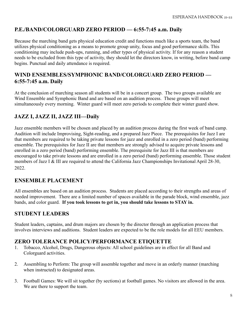## **P.E./BAND/COLORGUARD ZERO PERIOD — 6:55-7:45 a.m. Daily**

Because the marching band gets physical education credit and functions much like a sports team, the band utilizes physical conditioning as a means to promote group unity, focus and good performance skills. This conditioning may include push-ups, running, and other types of physical activity. If for any reason a student needs to be excluded from this type of activity, they should let the directors know, in writing, before band camp begins. Punctual and daily attendance is required.

## **WIND ENSEMBLES/SYMPHONIC BAND/COLORGUARD ZERO PERIOD — 6:55-7:45 a.m. Daily**

At the conclusion of marching season all students will be in a concert group. The two groups available are Wind Ensemble and Symphonic Band and are based on an audition process. These groups will meet simultaneously every morning. Winter guard will meet zero periods to complete their winter guard show.

## **JAZZ I, JAZZ II, JAZZ III—Daily**

Jazz ensemble members will be chosen and placed by an audition process during the first week of band camp. Audition will include Improvising, Sight-reading, and a prepared Jazz Piece. The prerequisites for Jazz I are that members are required to be taking private lessons for jazz and enrolled in a zero period (band) performing ensemble. The prerequisites for Jazz II are that members are strongly advised to acquire private lessons and enrolled in a zero period (band) performing ensemble. The prerequisite for Jazz III is that members are encouraged to take private lessons and are enrolled in a zero period (band) performing ensemble. Those student members of Jazz I & III are required to attend the California Jazz Championships Invitational April 28-30, 2022.

## **ENSEMBLE PLACEMENT**

All ensembles are based on an audition process. Students are placed according to their strengths and areas of needed improvement. There are a limited number of spaces available in the parade block, wind ensemble, jazz bands, and color guard. **If you took lessons to get in, you should take lessons to STAY in.**

## **STUDENT LEADERS**

Student leaders, captains, and drum majors are chosen by the director through an application process that involves interviews and auditions. Student leaders are expected to be the role models for all EEU members.

## **ZERO TOLERANCE POLICY/PERFORMANCE ETIQUETTE**

- 1. Tobacco, Alcohol, Drugs, Dangerous objects: All school guidelines are in effect for all Band and Colorguard activities.
- 2. Assembling to Perform: The group will assemble together and move in an orderly manner (marching when instructed) to designated areas.
- 3. Football Games: We will sit together (by sections) at football games. No visitors are allowed in the area. We are there to support the team.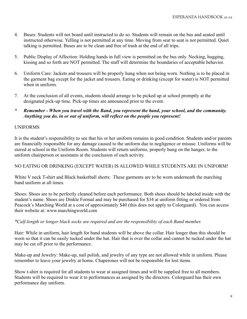- 4. Buses: Students will not board until instructed to do so. Students will remain on the bus and seated until instructed otherwise. Yelling is not permitted at any time. Moving from seat to seat is not permitted. Quiet talking is permitted. Buses are to be clean and free of trash at the end of all trips.
- 5. Public Display of Affection: Holding hands in full view is permitted on the bus only. Necking, hugging, kissing and so forth are NOT permitted. The staff will determine the boundaries of acceptable behavior.
- 6. Uniform Care: Jackets and trousers will be properly hung when not being worn. Nothing is to be placed in the garment bag except for the jacket and trousers. Eating or drinking (except for water) is NOT permitted when in uniform.
- 7. At the conclusion of all events, students should arrange to be picked up at school promptly at the designated pick-up time. Pick-up times are announced prior to the event.
- *\* Remember When you travel with the Band, you represent the band, your school, and the community. Anything you do, in or out of uniform, will reflect on the people you represent!*

#### UNIFORMS

It is the student's responsibility to see that his or her uniform remains in good condition. Students and/or parents are financially responsible for any damage caused to the uniform due to negligence or misuse. Uniforms will be stored at school in the Uniform Room. Students will return uniforms, properly hung on the hanger, to the uniform chairperson or assistants at the conclusion of each activity.

#### NO EATING OR DRINKING (EXCEPT WATER) IS ALLOWED WHILE STUDENTS ARE IN UNIFORM!

White V neck T-shirt and Black basketball shorts: These garments are to be worn underneath the marching band uniform at all times.

Shoes: Shoes are to be perfectly cleaned before each performance. Both shoes should be labeled inside with the student's name. Shoes are Dinkle Formal and may be purchased for \$34 at uniform fitting or ordered from Peacock's Marching World at a cost of approximately \$40 (this does not apply to Colorguard). You can access their website at: www.marchingworld.com

#### *\*Calf-length or longer black socks are required and are the responsibility of each Band member.*

Hair: While in uniform, hair length for band students will be above the collar. Hair longer than this should be worn so that it can be easily tucked under the hat. Hair that is over the collar and cannot be tucked under the hat may be cut off prior to the performance.

Make-up and Jewelry: Make-up, nail polish, and jewelry of any type are not allowed while in uniform. Please remember to leave your jewelry at home. Chaperones will not be responsible for lost items.

Show t-shirt is required for all students to wear at assigned times and will be supplied free to all members. Students will be required to wear it to performances as assigned by the directors. Colorguard has their own performance day uniform.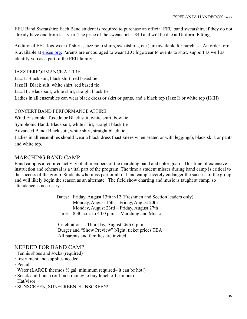EEU Band Sweatshirt: Each Band student is required to purchase an official EEU band sweatshirt, if they do not already have one from last year. The price of the sweatshirt is \$40 and will be due at Uniform Fitting.

Additional EEU logowear (T-shirts, Jazz polo shirts, sweatshirts, etc.) are available for purchase. An order form is available at [ehseu.org](https://ehseu.org/). Parents are encouraged to wear EEU logowear to events to show support as well as identify you as a part of the EEU family.

#### JAZZ PERFORMANCE ATTIRE:

Jazz I: Black suit, black shirt, red based tie Jazz II: Black suit, white shirt, red based tie Jazz III: Black suit, white shirt, straight black tie Ladies in all ensembles can wear black dress or skirt or pants, and a black top (Jazz I) or white top (II/III)

#### CONCERT BAND PERFORMANCE ATTIRE:

Wind Ensemble: Tuxedo or Black suit, white shirt, bow tie

Symphonic Band: Black suit, white shirt, straight black tie

Advanced Band: Black suit, white shirt, straight black tie

Ladies in all ensembles should wear a black dress (past knees when seated or with leggings), black skirt or pants and white top.

## MARCHING BAND CAMP

Band camp is a required activity of all members of the marching band and color guard. This time of extensive instruction and rehearsal is a vital part of the program. The time a student misses during band camp is critical to the success of the group. Students who miss part or all of band camp severely endanger the success of the group and will likely begin the season as an alternate. The field show charting and music is taught at camp, so attendance is necessary.

> Dates: Friday, August 13th 9-12 (Freshmen and Section leaders only) Monday, August 16th – Friday, August 20th Monday, August 23rd – Friday, August 27th Time: 8:30 a.m. to 4:00 p.m. – Marching and Music

Celebration: Thursday, August 26th 6 p.m. Burger and "Show Preview" Night, ticket prices TBA All parents and families are invited!

## NEEDED FOR BAND CAMP:

- · Tennis shoes and socks (required)
- · Instrument and supplies needed

· Pencil

- · Water (LARGE thermos ½ gal. minimum required– it can be hot!)
- · Snack and Lunch (or lunch money to buy lunch off campus)
- · Hat/visor
- · SUNSCREEN, SUNSCREEN, SUNSCREEN!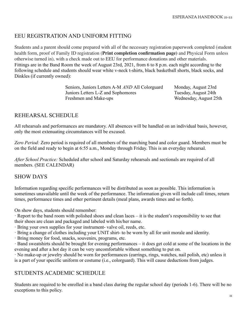## EEU REGISTRATION AND UNIFORM FITTING

Students and a parent should come prepared with all of the necessary registration paperwork completed (student health form, proof of Family ID registration (**Print completion confirmation page)** and Physical Form unless otherwise turned in), with a check made out to EEU for performance donations and other materials. Fittings are in the Band Room the week of August 23rd, 2021, from 6 to 8 p.m. each night according to the following schedule and students should wear white v-neck t-shirts, black basketball shorts, black socks, and Dinkles (if currently owned):

> Seniors, Juniors Letters A-M *AND* All Colorguard Monday, August 23rd Juniors Letters L-Z and Sophomores Tuesday, August 24th Freshmen and Make-ups Wednesday, August 25th

## REHEARSAL SCHEDULE

All rehearsals and performances are mandatory. All absences will be handled on an individual basis, however, only the most extenuating circumstances will be excused.

*Zero Period:* Zero period is required of all members of the marching band and color guard. Members must be on the field and ready to begin at 6:55 a.m., Monday through Friday. This is an everyday rehearsal.

*After School Practice:* Scheduled after school and Saturday rehearsals and sectionals are required of all members. (SEE CALENDAR)

## SHOW DAYS

Information regarding specific performances will be distributed as soon as possible. This information is sometimes unavailable until the week of the performance. The information given will include call times, return times, performance times and other pertinent details (meal plans, awards times and so forth).

On show days, students should remember:

· Report to the band room with polished shoes and clean laces – it is the student's responsibility to see that their shoes are clean and packaged and labeled with his/her name.

· Bring your own supplies for your instrument- valve oil, reeds, etc.

· Bring a change of clothes including your UNIT shirt- to be worn by all for unit morale and identity.

· Bring money for food, snacks, souvenirs, programs, etc.

· Band sweatshirts should be brought for evening performances – it does get cold at some of the locations in the evening and after a hot day it can be very uncomfortable without something to put on.

· No make-up or jewelry should be worn for performances (earrings, rings, watches, nail polish, etc) unless it is a part of your specific uniform or costume (i.e., colorguard). This will cause deductions from judges.

## STUDENTS ACADEMIC SCHEDULE

Students are required to be enrolled in a band class during the regular school day (periods 1-6). There will be no exceptions to this policy.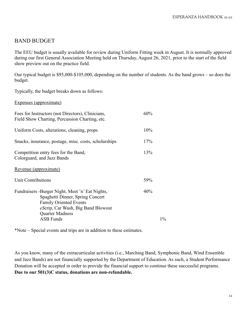## BAND BUDGET

The EEU budget is usually available for review during Uniform Fitting week in August. It is normally approved during our first General Association Meeting held on Thursday, August 26, 2021, prior to the start of the field show preview out on the practice field.

Our typical budget is \$95,000-\$105,000, depending on the number of students. As the band grows – so does the budget.

Typically, the budget breaks down as follows:

Expenses (approximate)

| Fees for Instructors (not Directors), Clinicians,<br>Field Show Charting, Percussion Charting, etc.                                                                           | 60%   |
|-------------------------------------------------------------------------------------------------------------------------------------------------------------------------------|-------|
| Uniform Costs, alterations, cleaning, props                                                                                                                                   | 10%   |
| Snacks, insurance, postage, misc. costs, scholarships                                                                                                                         | 17%   |
| Competition entry fees for the Band,<br>Colorguard, and Jazz Bands                                                                                                            | 13%   |
| Revenue (approximate)                                                                                                                                                         |       |
| Unit Contributions                                                                                                                                                            | 59%   |
| Fundraisers -Burger Night, Meet 'n' Eat Nights,<br>Spaghetti Dinner, Spring Concert<br><b>Family Oriented Events</b><br>eScrip, Car Wash, Big Band Blowout<br>Quarter Madness | 40%   |
| <b>ASB Funds</b>                                                                                                                                                              | $1\%$ |

\*Note – Special events and trips are in addition to these estimates.

As you know, many of the extracurricular activities (i.e., Marching Band, Symphonic Band, Wind Ensemble and Jazz Bands) are not financially supported by the Department of Education. As such, a Student Performance Donation will be accepted in order to provide the financial support to continue these successful programs. **Due to our 501(3)C status, donations are non-refundable.**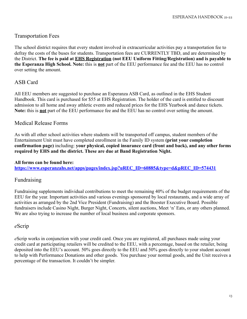## Transportation Fees

The school district requires that every student involved in extracurricular activities pay a transportation fee to defray the costs of the buses for students. Transportation fees are CURRENTLY TBD, and are determined by the District. **The fee is paid at EHS Registration (not EEU Uniform Fitting/Registration) and is payable to the Esperanza High School. Note:** this is **not** part of the EEU performance fee and the EEU has no control over setting the amount.

## ASB Card

All EEU members are suggested to purchase an Esperanza ASB Card, as outlined in the EHS Student Handbook. This card is purchased for \$55 at EHS Registration. The holder of the card is entitled to discount admission to all home and away athletic events and reduced prices for the EHS Yearbook and dance tickets. **Note:** this is **not** part of the EEU performance fee and the EEU has no control over setting the amount.

#### Medical Release Forms

As with all other school activities where students will be transported off campus, student members of the Entertainment Unit must have completed enrollment in the Family ID system **(print your completion confirmation page)** including: **your physical, copied insurance card (front and back), and any other forms required by EHS and the district. These are due at Band Registration Night.**

#### **All forms can be found here:**

**[https://www.esperanzahs.net/apps/pages/index.jsp?uREC\\_ID=60885&type=d&pREC\\_ID=574431](https://www.esperanzahs.net/apps/pages/index.jsp?uREC_ID=60885&type=d&pREC_ID=574431)**

#### Fundraising

Fundraising supplements individual contributions to meet the remaining 40% of the budget requirements of the EEU for the year. Important activities and various evenings sponsored by local restaurants, and a wide array of activities as arranged by the 2nd Vice President (Fundraising) and the Booster Executive Board. Possible fundraisers include Casino Night, Burger Night, Concerts, silent auctions, Meet 'n' Eats, or any others planned. We are also trying to increase the number of local business and corporate sponsors.

#### *e*Scrip

*e*Scrip works in conjunction with your credit card. Once you are registered, all purchases made using your credit card at participating retailers will be credited to the EEU, with a percentage, based on the retailer, being deposited into the EEU's account. 50% goes directly to the EEU and 50% goes directly to your student account to help with Performance Donations and other goods. You purchase your normal goods, and the Unit receives a percentage of the transaction. It couldn't be simpler.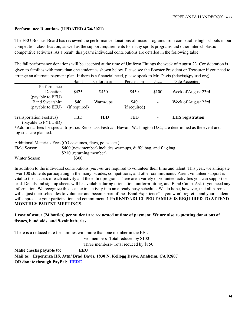#### **Performance Donations (UPDATED 4/26/2021)**

The EEU Booster Board has reviewed the performance donations of music programs from comparable high schools in our competition classification, as well as the support requirements for many sports programs and other interscholastic competitive activities. As a result, this year's individual contributions are detailed in the following table.

The fall performance donations will be accepted at the time of Uniform Fittings the week of August 23. Consideration is given to families with more than one student as shown below. Please see the Booster President or Treasurer if you need to arrange an alternate payment plan. If there is a financial need, please speak to Mr. Davis (bdavis $\omega$ pylusd.org).

|                                                                           | Band          | Colorguard | Percussion    | Jazz  | Date Accepted           |
|---------------------------------------------------------------------------|---------------|------------|---------------|-------|-------------------------|
| Performance                                                               |               |            |               |       |                         |
| Donation                                                                  | \$425         | \$450      | \$450         | \$100 | Week of August 23rd     |
| (payable to EEU)                                                          |               |            |               |       |                         |
| <b>Band Sweatshirt</b>                                                    | \$40          | Warm-ups   | \$40          | ۰     | Week of August 23rd     |
| (payable to EEU)                                                          | (if required) |            | (if required) |       |                         |
|                                                                           |               |            |               |       |                         |
| Transportation Fee(Bus)                                                   | TBD           | TBD        | TBD           | ۰     | <b>EHS</b> registration |
| $\left($ 11 $\right)$ $\mathbf{N}$ $\mathbf{N}$ $\mathbf{N}$ $\mathbf{N}$ |               |            |               |       |                         |

(payable to PYLUSD)

\*Additional fees for special trips, i.e. Reno Jazz Festival, Hawaii, Washington D.C., are determined as the event and logistics are planned.

Additional Materials Fees (CG costumes, flags, poles, etc.)

| Field Season  | \$400 (new member) includes warmups, duffel bag, and flag bag |
|---------------|---------------------------------------------------------------|
|               | \$210 (returning member)                                      |
| Winter Season | \$300                                                         |

In addition to the individual contributions, *parents* are required to volunteer their time and talent. This year, we anticipate over 100 students participating in the many parades, competitions, and other commitments. Parent volunteer support is vital to the success of each activity and the entire program. There are a variety of volunteer activities you can support or lead. Details and sign up sheets will be available during orientation, uniform fitting, and Band Camp. Ask if you need any information. We recognize this is an extra activity into an already busy schedule. We do hope, however, that all parents will adjust their schedules to volunteer and become part of the "Band Experience" – you won't regret it and your student will appreciate your participation and commitment. **1 PARENT/ADULT PER FAMILY IS REQUIRED TO ATTEND MONTHLY PARENT MEETINGS.**

#### 1 case of water (24 bottles) per student are requested at time of payment. We are also requesting donations of **tissues, band aids, and 9-volt batteries.**

There is a reduced rate for families with more than one member in the EEU:

Two members- Total reduced by \$100

Three members- Total reduced by \$150

**Make checks payable to: EEU Mail to: Esperanza HS, Attn/ Brad Davis, 1830 N. Kellogg Drive, Anaheim, CA 92807 OR donate through PayPal: [HERE](https://www.paypal.com/donate/?token=uql5jHczg4FTW9CxiyYJ7LkTLndGOgPbzyS4ubRzZ3iCS_gvy4dMRynvoV_klRNEVHVECW&country.x=US&locale.x=)**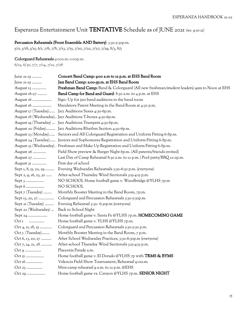## Esperanza Entertainment Unit TENTATIVE Schedule as of JUNE 2021 *(rev. 9-10-21)*

#### Percussion Rehearsals (Front Ensemble AND Battery) 3:30-5:30p.m.

5/11, 5/18, 5/25, 6/1, 7/6, 7/8, 7/13, 7/15, 7/20, 7/22, 7/27, 7/29, 8/3, 8/5

#### Colorguard Rehearsals 9:00a.m.-1:00p.m.

6/23, 6/30, 7/7, 7/14, 7/21, 7/28

| June 21-25            | Concert Band Camp: 9:00 a.m to 12 p.m. at EHS Band Room                                     |
|-----------------------|---------------------------------------------------------------------------------------------|
| June 21-25            | Jazz Band Camp: 2:00-5p.m. at EHS Band Room                                                 |
| August 13             | Freshman Band Camp: Band & Colorguard (All new freshman/student leaders) gam to Noon at EHS |
| August 16-27          | Band Camp for Band and Guard: 8:30 a.m. to 4 p.m. at EHS                                    |
| August 16             | Sign-Up for jazz band auditions in the band room                                            |
| August 16             | Mandatory Parent Meeting in the Band Room at 4:30 p.m.                                      |
|                       | August 17 (Tuesday) Jazz Auditions Saxes 4:30-6p.m.                                         |
|                       | August 18 (Wednesday) Jazz Auditions T-bones 4:30-6p.m.                                     |
|                       | August 19 (Thursday)  Jazz Auditions Trumpets 4:30-6p.m.                                    |
|                       | August 20 (Friday) Jazz Auditions Rhythm Section 4:30-6p.m.                                 |
|                       | August 23 (Monday) Seniors and All Colorguard Registration and Uniform Fitting 6-8p.m.      |
|                       | August 24 (Tuesday) Juniors and Sophomores Registration and Uniform Fitting 6-8p.m.         |
|                       | August 25 (Wednesday). Freshman and Make Up Registration and Uniform Fitting 6-8p.m.        |
| August 26             | Field Show preview & Burger Night 6p.m. (All parents/friends invited)                       |
| August 27             | Last Day of Camp Rehearsal 8:30 a.m. to 12 p.m.   Pool party/BBQ 12-2p.m.                   |
| August 31             | First day of school                                                                         |
| Sept 1, 8, 15, 22, 29 | Evening Wednesday Rehearsals 3:30-6:30 p.m. (everyone)                                      |
| Sept 2, 9, 16, 23, 30 | After-school Thursday Wind Sectionals 3:15-4:15 p.m.                                        |
|                       | NO SCHOOL Home football game v. Woodbridge @YLHS 7p.m                                       |
| Sept 6                | NO SCHOOL                                                                                   |
| Sept 7 (Tuesday)      | Monthly Booster Meeting in the Band Room, 7p.m.                                             |
| Sept 13, 20, 27       | Colorguard and Percussion Rehearsals 3:30-5:30p.m.                                          |
| Sept 21 (Tuesday)     | Evening Rehearsal 3:30- 6:30p.m (everyone)                                                  |
| Sept 22 (Wednesday)   | Back to School Night                                                                        |
| Sept 24               | Home football game v. Santa Fe @YLHS 7p.m. HOMECOMING GAME                                  |
| Oct 1<br>.            | Home football game v. YLHS @YLHS 7p.m.                                                      |
| Oct 4, 11, 18, 25     | Colorguard and Percussion Rehearsals 3:30-5:30 p.m.                                         |
| Oct 5 (Tuesday)       | Monthly Booster Meeting in the Band Room, 7 p.m.                                            |
| Oct 6, 13, 20, 27     | After School Wednesday Practices, 3:30-6:30p.m (everyone)                                   |
| Oct 7, 14, 21, 28     | After-school Thursday Wind Sectionals 3:15-4:15 p.m.                                        |
| Oct 9                 | Placentia Parade a.m.                                                                       |
| Oct 15                | Home football game v. El Dorado @YLHS 7p with TRMS & BYMS                                   |
| Oct 16                | Valencia Field Show Tournament, Rehearsal 9-11a.m.                                          |
| Oct 23                | Mini-camp rehearsal 9 a.m. to 12 p.m. @EHS                                                  |
| Oct 29                | Home football game vs. Canyon @YLHS 7p.m. SENIOR NIGHT                                      |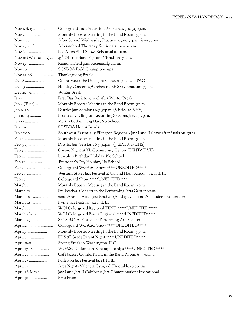| Nov $1, 8, 15$            | Colorguard and Percussion Rehearsals 3:30-5:30p.m.                                   |
|---------------------------|--------------------------------------------------------------------------------------|
| Nov 2                     | Monthly Booster Meeting in the Band Room, 7p.m.                                      |
|                           | After School Wednesday Practice, 3:30-6:30p.m. (everyone)                            |
| Nov 4, 11, 18             | After-school Thursday Sectionals 3:15-4:15p.m.                                       |
| Nov $6$                   | Los Altos Field Show, Rehearsal 9-11a.m.                                             |
| Nov 10 (Wednesday)        | 45 <sup>th</sup> District Band Pageant @Bradford 7p.m.                               |
| Nov <sub>13</sub>         | Ramona Field p.m. Rehearsalg-IIa.m.                                                  |
| Nov 20                    | SCSBOA Field Championships                                                           |
| Nov 22-26                 | Thanksgiving Break                                                                   |
|                           | Count Meets the Duke Jazz Concert, 7 p.m. at PAC                                     |
|                           | Holiday Concert w/Orchestra, EHS Gymnasium, 7p.m.                                    |
| Dec 20-31                 | Winter Break                                                                         |
|                           | First Day Back to school after Winter Break                                          |
| Jan $_4$ (Tues)           | Monthly Booster Meeting in the Band Room, 7p.m.                                      |
| Jan 6, 20                 | District Jam Sessions 6-7:30p.m. (6-EHS, 20-VHS)                                     |
| Jan 10-14                 | Essentially Ellington Recording Sessions Jazz I 5-7p.m.                              |
| Jan 17                    | Martin Luther King Day, No School                                                    |
| Jan 20-22                 | <b>SCSBOA Honor Bands</b>                                                            |
| Jan 27-30                 | Southwest Essentially Ellington Regional- Jazz I and II (leave after finals on 27th) |
|                           | Monthly Booster Meeting in the Band Room, 7p.m.                                      |
| $\text{Feb } 3, 17 \dots$ | District Jam Sessions 6-7:30p.m. (3-EDHS, 17-EHS)                                    |
|                           | Casino Night at YL Community Center (TENTATIVE)                                      |
| Feb 14                    | Lincoln's Birthday Holiday, No School                                                |
| Feb 21                    | President's Day Holiday, No School                                                   |
| Feb 20                    | Colorguard WGASC Show *****UNEDITED*****                                             |
|                           | Western States Jazz Festival at Upland High School-Jazz I, II, III                   |
| Feb 26                    | Colorguard Show *****UNEDITED*****                                                   |
| March 1                   | Monthly Booster Meeting in the Band Room, 7p.m.                                      |
| March 10                  | Pre-Festival Concert in the Performing Arts Center 6p.m.                             |
| March 12                  | 22nd Annual Aztec Jazz Festival (All day event and All students volunteer)           |
| March 19                  | Irvine Jazz Festival Jazz I, II, III                                                 |
| March 21                  | WGI Colorguard Regional TENT. *****UNEDITED*****                                     |
| March 28-29               | WGI Colorguard Power Regional *****UNEDITED*****                                     |
| March 29                  | S.C.S.B.O.A. Festival at Performing Arts Center                                      |
|                           | Colorguard WGASC Show *****UNEDITED*****                                             |
|                           | Monthly Booster Meeting in the Band Room, 7p.m.                                      |
| April $7$                 | EHS 8th Grade Parent Night *****UNEDITED*****                                        |
| April 11-15               | Spring Break in Washington, D.C.                                                     |
| April 17-18               | WGASC Colorguard Championships *****UNEDITED*****                                    |
| April 21                  | Café Jazztec Combo Night in the Band Room, 6-7:30p.m.                                |
| April 23                  | Fullerton Jazz Festival Jazz I, II, III                                              |
| April 27                  | Area Night (Valencia Gym) All Ensembles 6:00p.m.                                     |
| April 28-May 1            | Jazz I and Jazz II California Jazz Championships Invitational                        |
| April 30                  | <b>EHS</b> Prom                                                                      |
|                           |                                                                                      |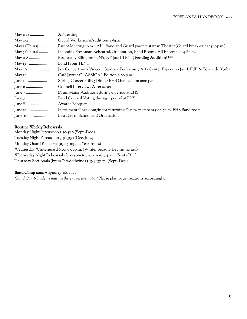|                 | AP Testing                                                                                          |
|-----------------|-----------------------------------------------------------------------------------------------------|
|                 | Guard Workshops/Auditions 4-6p.m.                                                                   |
| May $5$ (Thurs) | Parent Meeting 5p.m.   ALL Band and Guard parents start in Theater (Guard break-out at 5:30p.m.)    |
| May $5$ (Thurs) | Incoming Freshman Rehearsal/Orientation, Band Room - All Ensembles 4-6p.m.                          |
| May 6-8         | Essentially Ellington in NY, NY Jazz I TENT, Pending Audition****                                   |
|                 | <b>Band Prom TENT</b>                                                                               |
|                 | Jazz Concert with Vincent Gardner, Performing Arts Center Esperanza Jazz I, II,III & Bernardo Yorba |
|                 | Café Jazztec CLASSICAL Edition 6:00 p.m.                                                            |
|                 | Spring Concert/BBQ Dinner EHS Gymnasium 6:00 p.m.                                                   |
| June 6          | Council Interviews After school                                                                     |
|                 | Drum Major Auditions during o period at EHS                                                         |
|                 | Band Council Voting during o period at EHS                                                          |
| June $8$        | Awards Banquet                                                                                      |
| June 10         | Instrument Check out/in for returning & new members 3:00-5p.m. EHS Band room                        |
| June $16$<br>.  | Last Day of School and Graduation                                                                   |
|                 |                                                                                                     |

#### Routine Weekly Rehearsals:

Monday Night Percussion 3:30-5:30 (Sept.-Dec.) Tuesday Night Percussion 3:30-5:30 (Dec.-June) Monday Guard Rehearsal 3:30-5:30p.m. Year-round Wednesday Winterguard 6:00-9:00p.m. (Winter Season- Beginning 12/1) Wednesday Night Rehearsals (everyone)- 3:30p.m.-6:30p.m.. (Sept.-Dec.) Thursday Sectionals (brass & woodwind) 3:15-4:15p.m. (Sept.-Dec.)

#### Band Camp 2022 August 15 -26, 2022

*\*Band Camp Students must be there to receive a spot!* Please plan your vacations accordingly.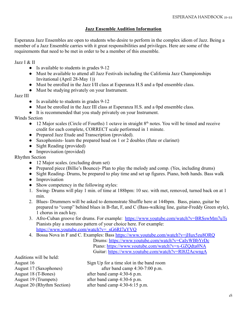#### **Jazz Ensemble Audition Information**

Esperanza Jazz Ensembles are open to students who desire to perform in the complex idiom of Jazz. Being a member of a Jazz Ensemble carries with it great responsibilities and privileges. Here are some of the requirements that need to be met in order to be a member of this ensemble.

Jazz I & II

- Is available to students in grades 9-12
- Must be available to attend all Jazz Festivals including the California Jazz Championships Invitational (April 28-May 1))
- Must be enrolled in the Jazz I/II class at Esperanza H.S and a 0pd ensemble class.
- Must be studying privately on your Instrument.

Jazz III

- Is available to students in grades 9-12
- Must be enrolled in the Jazz III class at Esperanza H.S. and a 0pd ensemble class.
- It is recommended that you study privately on your Instrument.

Winds Section

- 12 Major scales (Circle of Fourths) 1 octave in straight 8<sup>th</sup> notes. You will be timed and receive credit for each complete, CORRECT scale performed in 1 minute.
- Prepared Jazz Etude and Transcription (provided).
- Saxophonists- learn the prepared head on 1 or 2 doubles (flute or clarinet)
- Sight Reading (provided)
- Improvisation (provided)

Rhythm Section

- 12 Major scales. (excluding drum set)
- Prepared piece (Billie's Bounce)- Plan to play the melody and comp. (Yes, including drums)
- Sight Reading- Drums, be prepared to play time and set up figures. Piano, both hands. Bass walk
- Improvisation
- Show competency in the following styles:
- 1. Swing- Drums will play 1 min. of time at 188bpm: 10 sec. with met, removed, turned back on at 1 min.
- 2. Blues- Drummers will be asked to demonstrate Shuffle here at 144bpm. Bass, piano, guitar be prepared to "comp" behind blues in B-flat, F, and C (Bass-walking line, guitar-Freddy Green style), 1 chorus in each key.
- 3. Afro-Cuban groove for drums. For example: <https://www.youtube.com/watch?v=BRSswMm7uTs> Pianists play a montuno pattern of your choice here. For example: [https://www.youtube.com/watch?v=\\_sG6RI7aYVQ](https://www.youtube.com/watch?v=_sG6RI7aYVQ)
- 4. Bossa Nova in F and C. Examples: Bass <https://www.youtube.com/watch?v=jHux5zu8ORQ>

Drums: <https://www.youtube.com/watch?v=CaIyWBbYrDc> Piano: <https://www.youtube.com/watch?v=x-GZQdta0NA> Guitar: <https://www.youtube.com/watch?v=Rl8J2AcwngA>

Auditions will be held: August 18 (T-Bones) after band camp 4:30-6 p.m. August 19 (Trumpets) after band camp 4:30-6 p.m.

August 16 Sign Up for a time slot in the band room August 17 (Saxophones) after band camp 4:30-7:00 p.m. August 20 (Rhythm Section) after band camp 4:30-6:15 p.m.